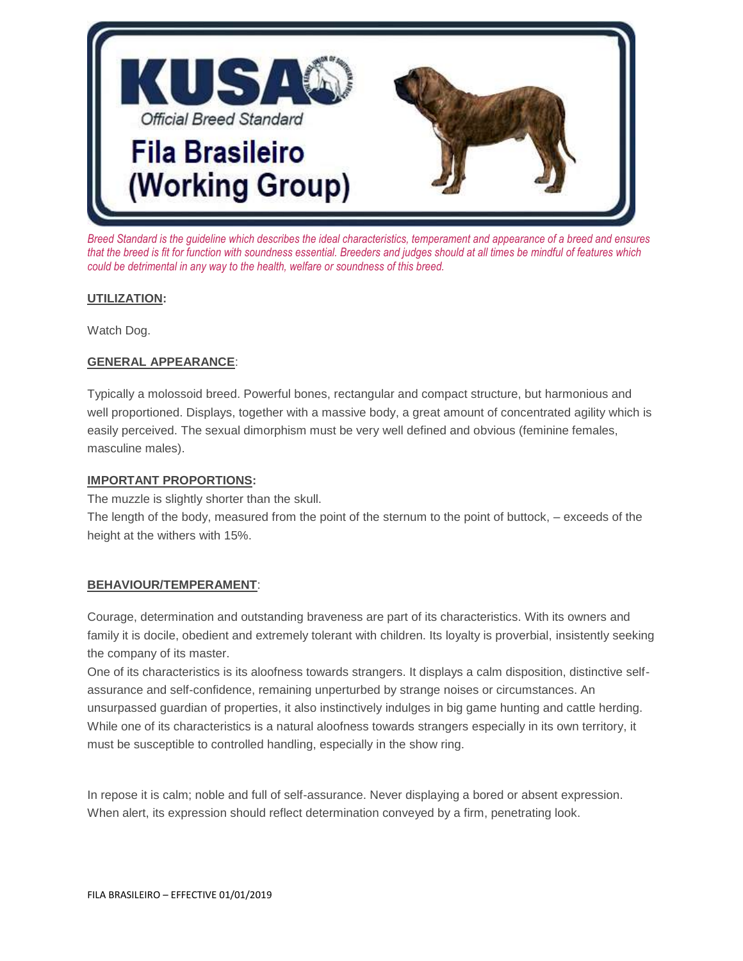

*Breed Standard is the guideline which describes the ideal characteristics, temperament and appearance of a breed and ensures that the breed is fit for function with soundness essential. Breeders and judges should at all times be mindful of features which could be detrimental in any way to the health, welfare or soundness of this breed.*

## **UTILIZATION:**

Watch Dog.

## **GENERAL APPEARANCE**:

Typically a molossoid breed. Powerful bones, rectangular and compact structure, but harmonious and well proportioned. Displays, together with a massive body, a great amount of concentrated agility which is easily perceived. The sexual dimorphism must be very well defined and obvious (feminine females, masculine males).

#### **IMPORTANT PROPORTIONS:**

The muzzle is slightly shorter than the skull.

The length of the body, measured from the point of the sternum to the point of buttock, – exceeds of the height at the withers with 15%.

## **BEHAVIOUR/TEMPERAMENT**:

Courage, determination and outstanding braveness are part of its characteristics. With its owners and family it is docile, obedient and extremely tolerant with children. Its loyalty is proverbial, insistently seeking the company of its master.

One of its characteristics is its aloofness towards strangers. It displays a calm disposition, distinctive selfassurance and self-confidence, remaining unperturbed by strange noises or circumstances. An unsurpassed guardian of properties, it also instinctively indulges in big game hunting and cattle herding. While one of its characteristics is a natural aloofness towards strangers especially in its own territory, it must be susceptible to controlled handling, especially in the show ring.

In repose it is calm; noble and full of self-assurance. Never displaying a bored or absent expression. When alert, its expression should reflect determination conveyed by a firm, penetrating look.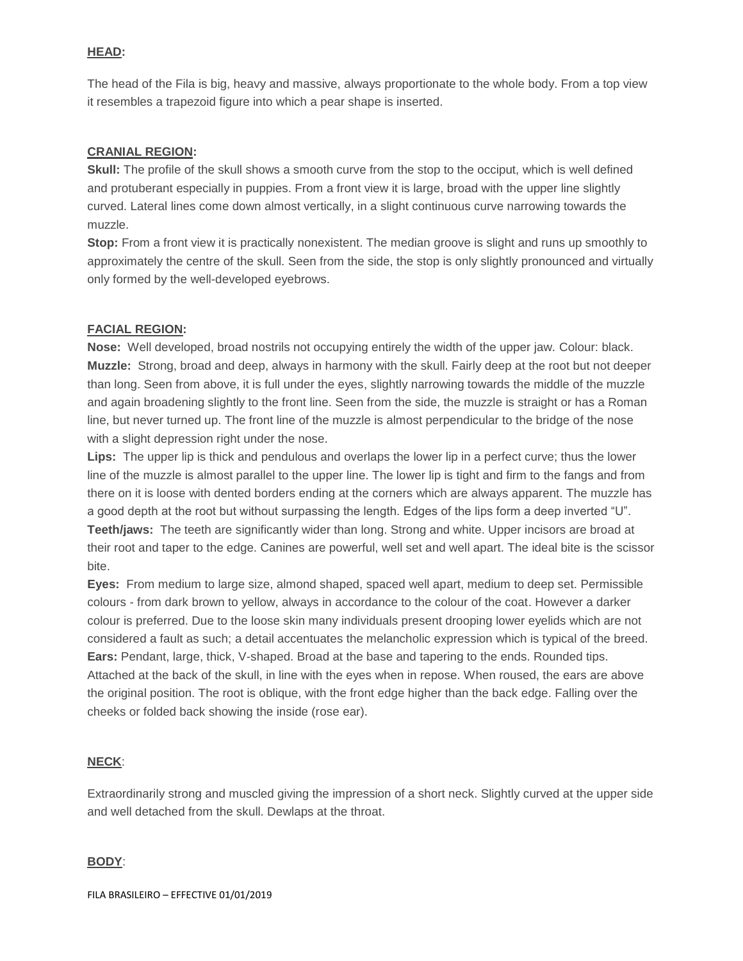## **HEAD:**

The head of the Fila is big, heavy and massive, always proportionate to the whole body. From a top view it resembles a trapezoid figure into which a pear shape is inserted.

## **CRANIAL REGION:**

**Skull:** The profile of the skull shows a smooth curve from the stop to the occiput, which is well defined and protuberant especially in puppies. From a front view it is large, broad with the upper line slightly curved. Lateral lines come down almost vertically, in a slight continuous curve narrowing towards the muzzle.

**Stop:** From a front view it is practically nonexistent. The median groove is slight and runs up smoothly to approximately the centre of the skull. Seen from the side, the stop is only slightly pronounced and virtually only formed by the well-developed eyebrows.

## **FACIAL REGION:**

**Nose:** Well developed, broad nostrils not occupying entirely the width of the upper jaw. Colour: black. **Muzzle:** Strong, broad and deep, always in harmony with the skull. Fairly deep at the root but not deeper than long. Seen from above, it is full under the eyes, slightly narrowing towards the middle of the muzzle and again broadening slightly to the front line. Seen from the side, the muzzle is straight or has a Roman line, but never turned up. The front line of the muzzle is almost perpendicular to the bridge of the nose with a slight depression right under the nose.

**Lips:** The upper lip is thick and pendulous and overlaps the lower lip in a perfect curve; thus the lower line of the muzzle is almost parallel to the upper line. The lower lip is tight and firm to the fangs and from there on it is loose with dented borders ending at the corners which are always apparent. The muzzle has a good depth at the root but without surpassing the length. Edges of the lips form a deep inverted "U". **Teeth/jaws:** The teeth are significantly wider than long. Strong and white. Upper incisors are broad at their root and taper to the edge. Canines are powerful, well set and well apart. The ideal bite is the scissor bite.

**Eyes:** From medium to large size, almond shaped, spaced well apart, medium to deep set. Permissible colours - from dark brown to yellow, always in accordance to the colour of the coat. However a darker colour is preferred. Due to the loose skin many individuals present drooping lower eyelids which are not considered a fault as such; a detail accentuates the melancholic expression which is typical of the breed. **Ears:** Pendant, large, thick, V-shaped. Broad at the base and tapering to the ends. Rounded tips. Attached at the back of the skull, in line with the eyes when in repose. When roused, the ears are above the original position. The root is oblique, with the front edge higher than the back edge. Falling over the cheeks or folded back showing the inside (rose ear).

## **NECK**:

Extraordinarily strong and muscled giving the impression of a short neck. Slightly curved at the upper side and well detached from the skull. Dewlaps at the throat.

## **BODY**: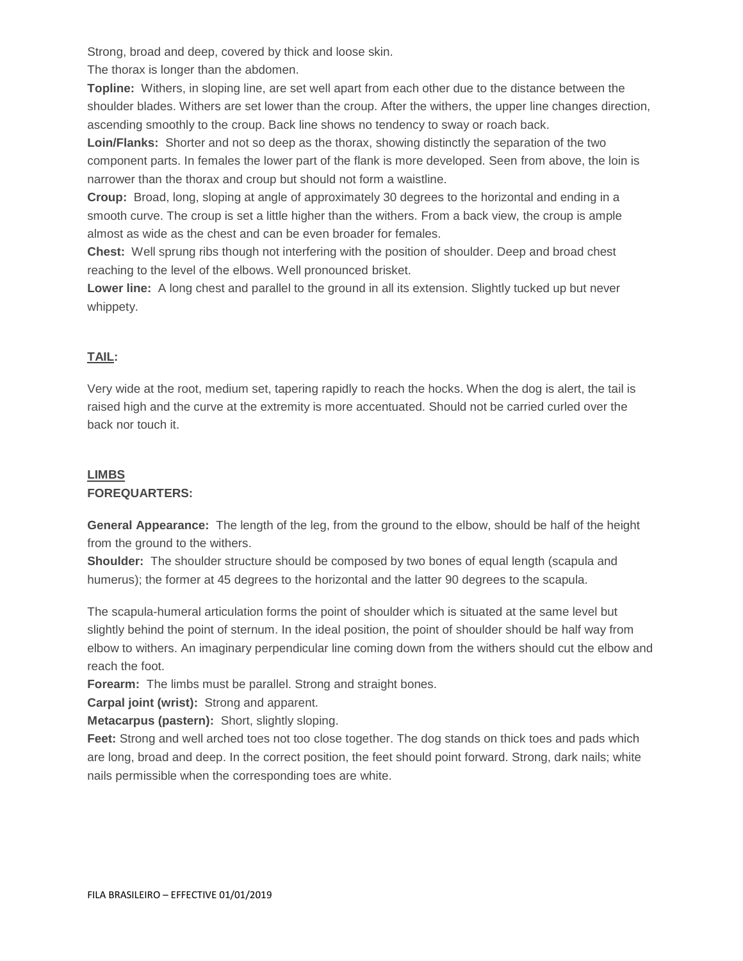Strong, broad and deep, covered by thick and loose skin.

The thorax is longer than the abdomen.

**Topline:** Withers, in sloping line, are set well apart from each other due to the distance between the shoulder blades. Withers are set lower than the croup. After the withers, the upper line changes direction, ascending smoothly to the croup. Back line shows no tendency to sway or roach back.

**Loin/Flanks:** Shorter and not so deep as the thorax, showing distinctly the separation of the two component parts. In females the lower part of the flank is more developed. Seen from above, the loin is narrower than the thorax and croup but should not form a waistline.

**Croup:** Broad, long, sloping at angle of approximately 30 degrees to the horizontal and ending in a smooth curve. The croup is set a little higher than the withers. From a back view, the croup is ample almost as wide as the chest and can be even broader for females.

**Chest:** Well sprung ribs though not interfering with the position of shoulder. Deep and broad chest reaching to the level of the elbows. Well pronounced brisket.

**Lower line:** A long chest and parallel to the ground in all its extension. Slightly tucked up but never whippety.

## **TAIL:**

Very wide at the root, medium set, tapering rapidly to reach the hocks. When the dog is alert, the tail is raised high and the curve at the extremity is more accentuated. Should not be carried curled over the back nor touch it.

# **LIMBS FOREQUARTERS:**

**General Appearance:** The length of the leg, from the ground to the elbow, should be half of the height from the ground to the withers.

**Shoulder:** The shoulder structure should be composed by two bones of equal length (scapula and humerus); the former at 45 degrees to the horizontal and the latter 90 degrees to the scapula.

The scapula-humeral articulation forms the point of shoulder which is situated at the same level but slightly behind the point of sternum. In the ideal position, the point of shoulder should be half way from elbow to withers. An imaginary perpendicular line coming down from the withers should cut the elbow and reach the foot.

**Forearm:** The limbs must be parallel. Strong and straight bones.

**Carpal joint (wrist):** Strong and apparent.

**Metacarpus (pastern):** Short, slightly sloping.

**Feet:** Strong and well arched toes not too close together. The dog stands on thick toes and pads which are long, broad and deep. In the correct position, the feet should point forward. Strong, dark nails; white nails permissible when the corresponding toes are white.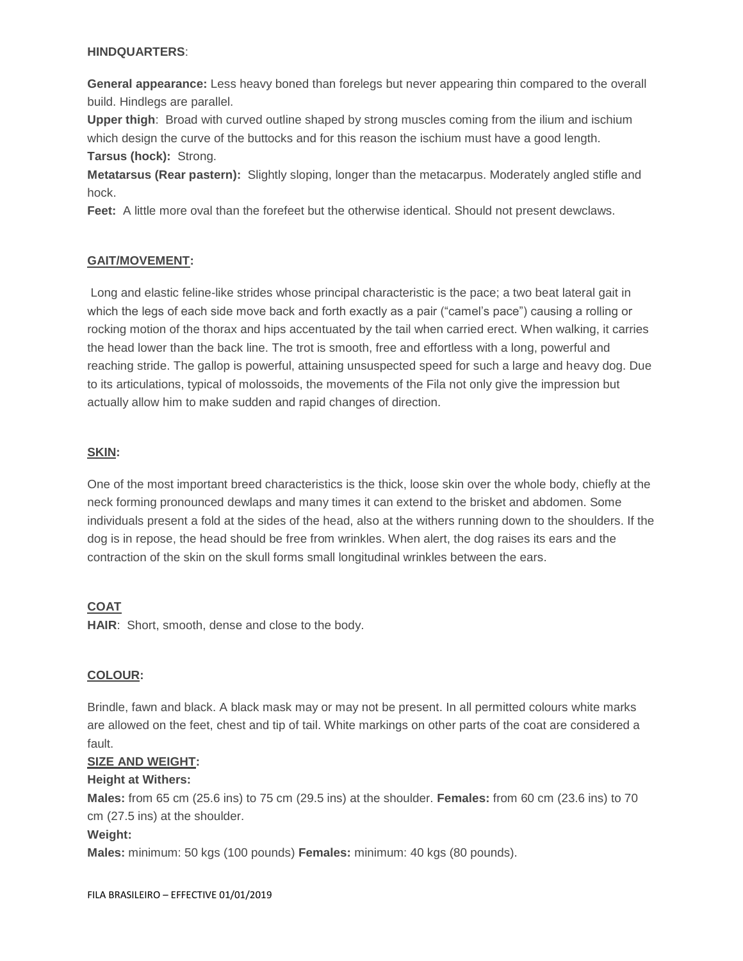#### **HINDQUARTERS**:

**General appearance:** Less heavy boned than forelegs but never appearing thin compared to the overall build. Hindlegs are parallel.

**Upper thigh**: Broad with curved outline shaped by strong muscles coming from the ilium and ischium which design the curve of the buttocks and for this reason the ischium must have a good length. **Tarsus (hock):** Strong.

**Metatarsus (Rear pastern):** Slightly sloping, longer than the metacarpus. Moderately angled stifle and hock.

**Feet:** A little more oval than the forefeet but the otherwise identical. Should not present dewclaws.

## **GAIT/MOVEMENT:**

Long and elastic feline-like strides whose principal characteristic is the pace; a two beat lateral gait in which the legs of each side move back and forth exactly as a pair ("camel's pace") causing a rolling or rocking motion of the thorax and hips accentuated by the tail when carried erect. When walking, it carries the head lower than the back line. The trot is smooth, free and effortless with a long, powerful and reaching stride. The gallop is powerful, attaining unsuspected speed for such a large and heavy dog. Due to its articulations, typical of molossoids, the movements of the Fila not only give the impression but actually allow him to make sudden and rapid changes of direction.

## **SKIN:**

One of the most important breed characteristics is the thick, loose skin over the whole body, chiefly at the neck forming pronounced dewlaps and many times it can extend to the brisket and abdomen. Some individuals present a fold at the sides of the head, also at the withers running down to the shoulders. If the dog is in repose, the head should be free from wrinkles. When alert, the dog raises its ears and the contraction of the skin on the skull forms small longitudinal wrinkles between the ears.

## **COAT**

**HAIR**: Short, smooth, dense and close to the body.

## **COLOUR:**

Brindle, fawn and black. A black mask may or may not be present. In all permitted colours white marks are allowed on the feet, chest and tip of tail. White markings on other parts of the coat are considered a fault.

## **SIZE AND WEIGHT:**

## **Height at Withers:**

**Males:** from 65 cm (25.6 ins) to 75 cm (29.5 ins) at the shoulder. **Females:** from 60 cm (23.6 ins) to 70 cm (27.5 ins) at the shoulder.

## **Weight:**

**Males:** minimum: 50 kgs (100 pounds) **Females:** minimum: 40 kgs (80 pounds).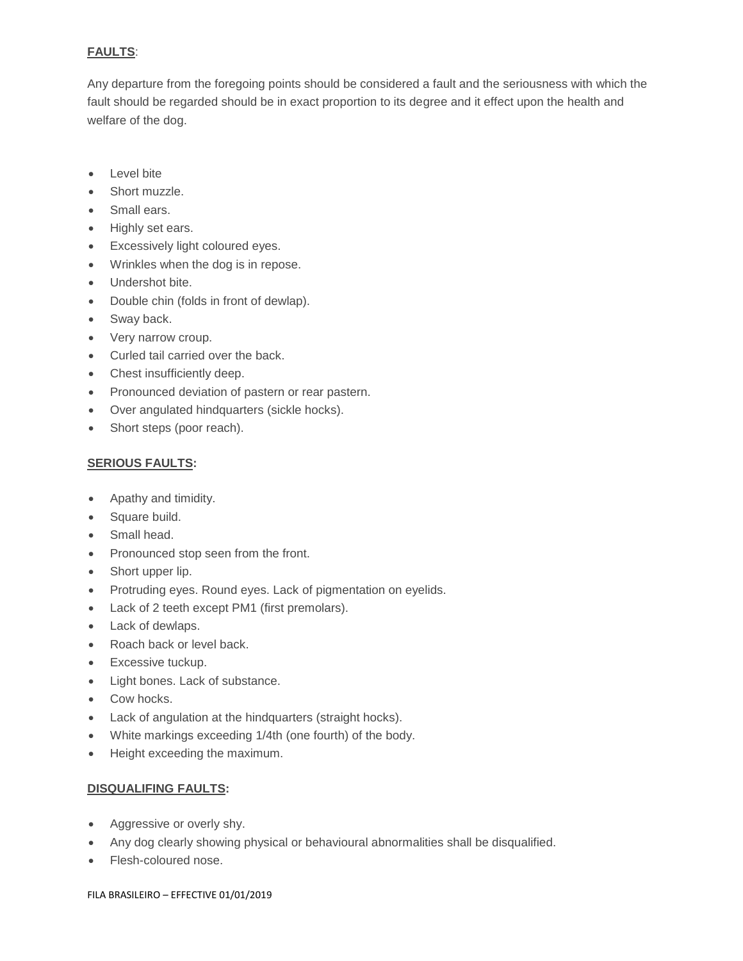## **FAULTS**:

Any departure from the foregoing points should be considered a fault and the seriousness with which the fault should be regarded should be in exact proportion to its degree and it effect upon the health and welfare of the dog.

- Level bite
- Short muzzle.
- Small ears.
- Highly set ears.
- Excessively light coloured eyes.
- Wrinkles when the dog is in repose.
- Undershot bite.
- Double chin (folds in front of dewlap).
- Sway back.
- Very narrow croup.
- Curled tail carried over the back.
- Chest insufficiently deep.
- Pronounced deviation of pastern or rear pastern.
- Over angulated hindquarters (sickle hocks).
- Short steps (poor reach).

## **SERIOUS FAULTS:**

- Apathy and timidity.
- Square build.
- Small head.
- Pronounced stop seen from the front.
- Short upper lip.
- Protruding eyes. Round eyes. Lack of pigmentation on eyelids.
- Lack of 2 teeth except PM1 (first premolars).
- Lack of dewlaps.
- Roach back or level back.
- Excessive tuckup.
- Light bones. Lack of substance.
- Cow hocks.
- Lack of angulation at the hindquarters (straight hocks).
- White markings exceeding 1/4th (one fourth) of the body.
- Height exceeding the maximum.

## **DISQUALIFING FAULTS:**

- Aggressive or overly shy.
- Any dog clearly showing physical or behavioural abnormalities shall be disqualified.
- Flesh-coloured nose.

#### FILA BRASILEIRO – EFFECTIVE 01/01/2019